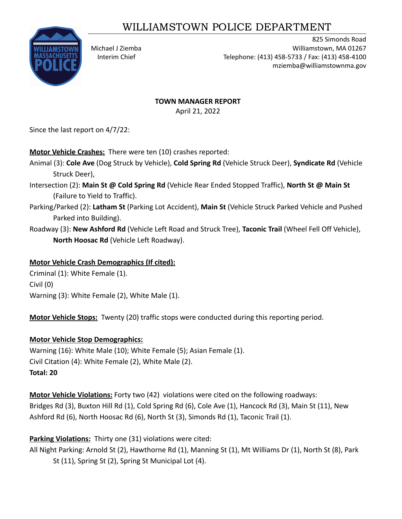# WILLIAMSTOWN POLICE DEPARTMENT



825 Simonds Road Michael J Ziemba Williamstown, MA 01267 Interim Chief Telephone: (413) 458-5733 / Fax: (413) 458-4100 mziemba@williamstownma.gov

# **TOWN MANAGER REPORT**

April 21, 2022

Since the last report on 4/7/22:

**Motor Vehicle Crashes:** There were ten (10) crashes reported:

- Animal (3): **Cole Ave** (Dog Struck by Vehicle), **Cold Spring Rd** (Vehicle Struck Deer), **Syndicate Rd** (Vehicle Struck Deer),
- Intersection (2): **Main St @ Cold Spring Rd** (Vehicle Rear Ended Stopped Traffic), **North St @ Main St** (Failure to Yield to Traffic).
- Parking/Parked (2): **Latham St** (Parking Lot Accident), **Main St** (Vehicle Struck Parked Vehicle and Pushed Parked into Building).
- Roadway (3): **New Ashford Rd** (Vehicle Left Road and Struck Tree), **Taconic Trail** (Wheel Fell Off Vehicle), **North Hoosac Rd** (Vehicle Left Roadway).

## **Motor Vehicle Crash Demographics (If cited):**

Criminal (1): White Female (1). Civil (0) Warning (3): White Female (2), White Male (1).

**Motor Vehicle Stops:** Twenty (20) traffic stops were conducted during this reporting period.

# **Motor Vehicle Stop Demographics:**

Warning (16): White Male (10); White Female (5); Asian Female (1). Civil Citation (4): White Female (2), White Male (2). **Total: 20**

**Motor Vehicle Violations:** Forty two (42) violations were cited on the following roadways: Bridges Rd (3), Buxton Hill Rd (1), Cold Spring Rd (6), Cole Ave (1), Hancock Rd (3), Main St (11), New Ashford Rd (6), North Hoosac Rd (6), North St (3), Simonds Rd (1), Taconic Trail (1).

# **Parking Violations:** Thirty one (31) violations were cited:

All Night Parking: Arnold St (2), Hawthorne Rd (1), Manning St (1), Mt Williams Dr (1), North St (8), Park St (11), Spring St (2), Spring St Municipal Lot (4).